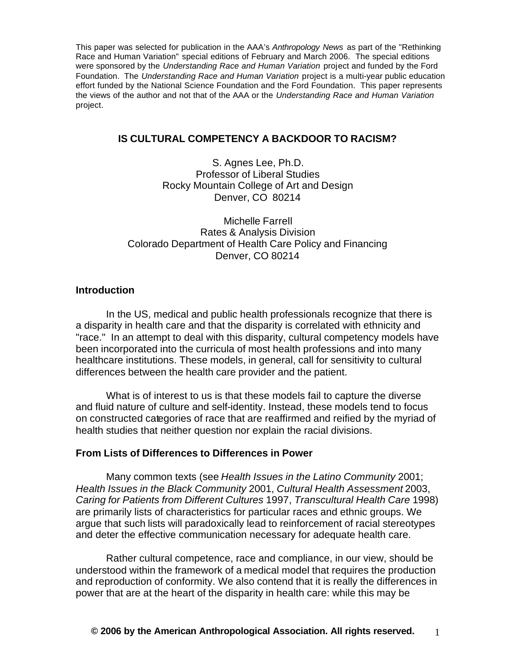This paper was selected for publication in the AAA's *Anthropology News* as part of the "Rethinking Race and Human Variation" special editions of February and March 2006. The special editions were sponsored by the *Understanding Race and Human Variation* project and funded by the Ford Foundation. The *Understanding Race and Human Variation* project is a multi-year public education effort funded by the National Science Foundation and the Ford Foundation. This paper represents the views of the author and not that of the AAA or the *Understanding Race and Human Variation* project.

# **IS CULTURAL COMPETENCY A BACKDOOR TO RACISM?**

S. Agnes Lee, Ph.D. Professor of Liberal Studies Rocky Mountain College of Art and Design Denver, CO 80214

Michelle Farrell Rates & Analysis Division Colorado Department of Health Care Policy and Financing Denver, CO 80214

## **Introduction**

In the US, medical and public health professionals recognize that there is a disparity in health care and that the disparity is correlated with ethnicity and "race." In an attempt to deal with this disparity, cultural competency models have been incorporated into the curricula of most health professions and into many healthcare institutions. These models, in general, call for sensitivity to cultural differences between the health care provider and the patient.

What is of interest to us is that these models fail to capture the diverse and fluid nature of culture and self-identity. Instead, these models tend to focus on constructed categories of race that are reaffirmed and reified by the myriad of health studies that neither question nor explain the racial divisions.

## **From Lists of Differences to Differences in Power**

Many common texts (see *Health Issues in the Latino Community* 2001; *Health Issues in the Black Community* 2001, *Cultural Health Assessment* 2003, *Caring for Patients from Different Cultures* 1997, *Transcultural Health Care* 1998) are primarily lists of characteristics for particular races and ethnic groups. We argue that such lists will paradoxically lead to reinforcement of racial stereotypes and deter the effective communication necessary for adequate health care.

Rather cultural competence, race and compliance, in our view, should be understood within the framework of a medical model that requires the production and reproduction of conformity. We also contend that it is really the differences in power that are at the heart of the disparity in health care: while this may be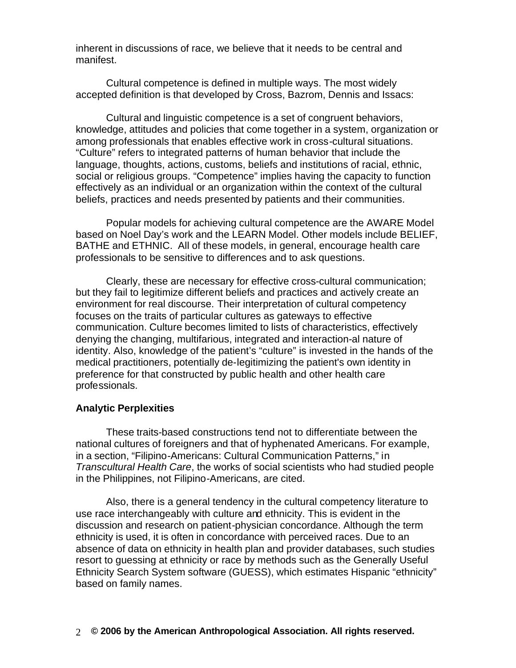inherent in discussions of race, we believe that it needs to be central and manifest.

Cultural competence is defined in multiple ways. The most widely accepted definition is that developed by Cross, Bazrom, Dennis and Issacs:

Cultural and linguistic competence is a set of congruent behaviors, knowledge, attitudes and policies that come together in a system, organization or among professionals that enables effective work in cross-cultural situations. "Culture" refers to integrated patterns of human behavior that include the language, thoughts, actions, customs, beliefs and institutions of racial, ethnic, social or religious groups. "Competence" implies having the capacity to function effectively as an individual or an organization within the context of the cultural beliefs, practices and needs presented by patients and their communities.

Popular models for achieving cultural competence are the AWARE Model based on Noel Day's work and the LEARN Model. Other models include BELIEF, BATHE and ETHNIC. All of these models, in general, encourage health care professionals to be sensitive to differences and to ask questions.

Clearly, these are necessary for effective cross-cultural communication; but they fail to legitimize different beliefs and practices and actively create an environment for real discourse. Their interpretation of cultural competency focuses on the traits of particular cultures as gateways to effective communication. Culture becomes limited to lists of characteristics, effectively denying the changing, multifarious, integrated and interaction-al nature of identity. Also, knowledge of the patient's "culture" is invested in the hands of the medical practitioners, potentially de-legitimizing the patient's own identity in preference for that constructed by public health and other health care professionals.

#### **Analytic Perplexities**

These traits-based constructions tend not to differentiate between the national cultures of foreigners and that of hyphenated Americans. For example, in a section, "Filipino-Americans: Cultural Communication Patterns," in *Transcultural Health Care*, the works of social scientists who had studied people in the Philippines, not Filipino-Americans, are cited.

Also, there is a general tendency in the cultural competency literature to use race interchangeably with culture and ethnicity. This is evident in the discussion and research on patient-physician concordance. Although the term ethnicity is used, it is often in concordance with perceived races. Due to an absence of data on ethnicity in health plan and provider databases, such studies resort to guessing at ethnicity or race by methods such as the Generally Useful Ethnicity Search System software (GUESS), which estimates Hispanic "ethnicity" based on family names.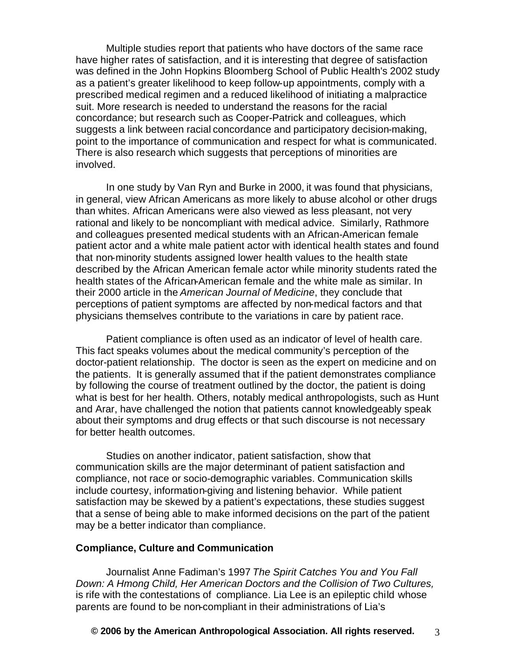Multiple studies report that patients who have doctors of the same race have higher rates of satisfaction, and it is interesting that degree of satisfaction was defined in the John Hopkins Bloomberg School of Public Health's 2002 study as a patient's greater likelihood to keep follow-up appointments, comply with a prescribed medical regimen and a reduced likelihood of initiating a malpractice suit. More research is needed to understand the reasons for the racial concordance; but research such as Cooper-Patrick and colleagues, which suggests a link between racial concordance and participatory decision-making, point to the importance of communication and respect for what is communicated. There is also research which suggests that perceptions of minorities are involved.

In one study by Van Ryn and Burke in 2000, it was found that physicians, in general, view African Americans as more likely to abuse alcohol or other drugs than whites. African Americans were also viewed as less pleasant, not very rational and likely to be noncompliant with medical advice. Similarly, Rathmore and colleagues presented medical students with an African-American female patient actor and a white male patient actor with identical health states and found that non-minority students assigned lower health values to the health state described by the African American female actor while minority students rated the health states of the African-American female and the white male as similar. In their 2000 article in the *American Journal of Medicine*, they conclude that perceptions of patient symptoms are affected by non-medical factors and that physicians themselves contribute to the variations in care by patient race.

Patient compliance is often used as an indicator of level of health care. This fact speaks volumes about the medical community's perception of the doctor-patient relationship. The doctor is seen as the expert on medicine and on the patients. It is generally assumed that if the patient demonstrates compliance by following the course of treatment outlined by the doctor, the patient is doing what is best for her health. Others, notably medical anthropologists, such as Hunt and Arar, have challenged the notion that patients cannot knowledgeably speak about their symptoms and drug effects or that such discourse is not necessary for better health outcomes.

Studies on another indicator, patient satisfaction, show that communication skills are the major determinant of patient satisfaction and compliance, not race or socio-demographic variables. Communication skills include courtesy, information-giving and listening behavior. While patient satisfaction may be skewed by a patient's expectations, these studies suggest that a sense of being able to make informed decisions on the part of the patient may be a better indicator than compliance.

## **Compliance, Culture and Communication**

Journalist Anne Fadiman's 1997 *The Spirit Catches You and You Fall Down: A Hmong Child, Her American Doctors and the Collision of Two Cultures,*  is rife with the contestations of compliance. Lia Lee is an epileptic child whose parents are found to be non-compliant in their administrations of Lia's